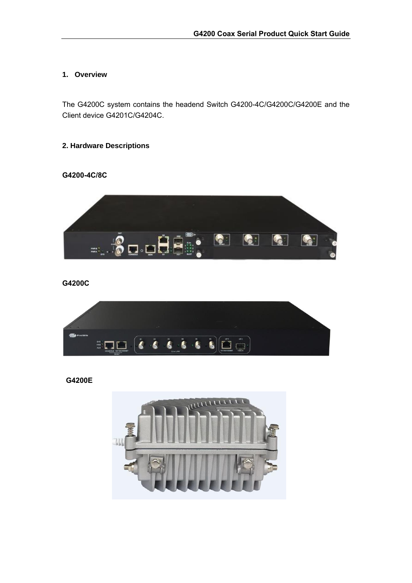### **1. Overview**

The G4200C system contains the headend Switch G4200-4C/G4200C/G4200E and the Client device G4201C/G4204C.

## **2. Hardware Descriptions**

#### **G4200-4C/8C**



**G4200C**



**G4200E**

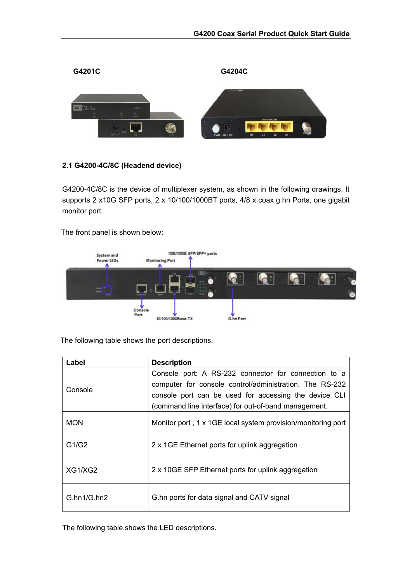

### **2.1 G4200-4C/8C (Headend device)**

G4200-4C/8C is the device of multiplexer system, as shown in the following drawings. It supports 2 x10G SFP ports, 2 x 10/100/1000BT ports, 4/8 x coax g.hn Ports, one gigabit monitor port.

The front panel is shown below:



The following table shows the port descriptions.

| Label                               | <b>Description</b>                                                                                                                                                                                                               |
|-------------------------------------|----------------------------------------------------------------------------------------------------------------------------------------------------------------------------------------------------------------------------------|
| Console                             | Console port: A RS-232 connector for connection to a<br>computer for console control/administration. The RS-232<br>console port can be used for accessing the device CLI<br>(command line interface) for out-of-band management. |
| <b>MON</b>                          | Monitor port, 1 x 1GE local system provision/monitoring port                                                                                                                                                                     |
| G1/G2                               | 2 x 1GE Ethernet ports for uplink aggregation                                                                                                                                                                                    |
| XG1/XG2                             | 2 x 10GE SFP Ethernet ports for uplink aggregation                                                                                                                                                                               |
| G <sub>h</sub> n1/G <sub>h</sub> n2 | G.hn ports for data signal and CATV signal                                                                                                                                                                                       |

The following table shows the LED descriptions.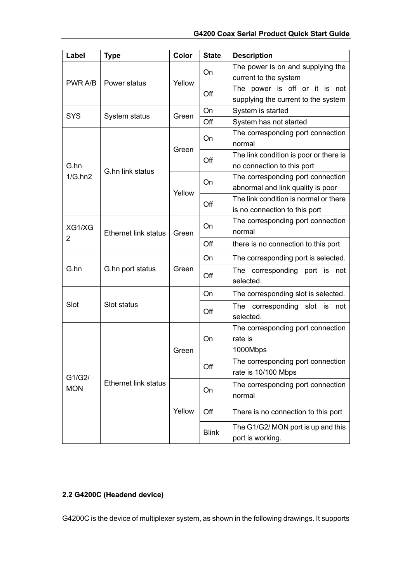| Label                    | <b>Type</b>                 | Color  | <b>State</b> | <b>Description</b>                                                     |
|--------------------------|-----------------------------|--------|--------------|------------------------------------------------------------------------|
|                          |                             |        |              | The power is on and supplying the                                      |
| PWR A/B                  | Power status                | Yellow | On           | current to the system                                                  |
|                          |                             |        | Off          | The power is off or it is not                                          |
|                          |                             |        |              | supplying the current to the system                                    |
| <b>SYS</b>               | System status               | Green  | On           | System is started                                                      |
|                          |                             |        | Off          | System has not started                                                 |
|                          |                             |        | On           | The corresponding port connection<br>normal                            |
|                          |                             | Green  | Off          | The link condition is poor or there is                                 |
| G.hn<br>1/G.hn2          | G.hn link status            |        |              | no connection to this port                                             |
|                          |                             |        | On           | The corresponding port connection<br>abnormal and link quality is poor |
|                          |                             | Yellow |              | The link condition is normal or there                                  |
|                          |                             |        | Off          | is no connection to this port                                          |
| XG1/XG                   | <b>Ethernet link status</b> | Green  | On           | The corresponding port connection<br>normal                            |
| 2                        |                             |        | Off          | there is no connection to this port                                    |
|                          |                             |        | On           | The corresponding port is selected.                                    |
| G.hn<br>G.hn port status |                             | Green  | Off          | The corresponding port is not<br>selected.                             |
|                          | Slot status                 |        | On           | The corresponding slot is selected.                                    |
| Slot                     |                             |        | Off          | The corresponding<br>slot is<br>not<br>selected.                       |
| G1/G2/<br><b>MON</b>     | <b>Ethernet link status</b> | Green  | On           | The corresponding port connection<br>rate is<br>1000Mbps               |
|                          |                             |        | Off          | The corresponding port connection<br>rate is 10/100 Mbps               |
|                          |                             | Yellow | On           | The corresponding port connection<br>normal                            |
|                          |                             |        | Off          | There is no connection to this port                                    |
|                          |                             |        | <b>Blink</b> | The G1/G2/ MON port is up and this<br>port is working.                 |

## **2.2 G4200C (Headend device)**

G4200C is the device of multiplexer system, as shown in the following drawings. It supports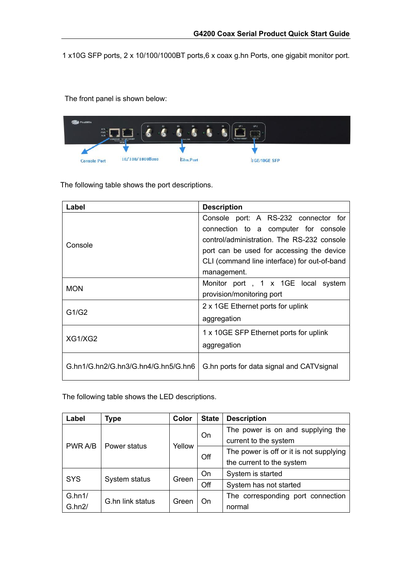1 x10G SFP ports, 2 x 10/100/1000BT ports,6 x coax g.hn Ports, one gigabit monitor port.

The front panel is shown below:



The following table shows the port descriptions.

| Label                               | <b>Description</b>                           |
|-------------------------------------|----------------------------------------------|
|                                     | Console port: A RS-232 connector for         |
|                                     | connection to a computer for console         |
| Console                             | control/administration. The RS-232 console   |
|                                     | port can be used for accessing the device    |
|                                     | CLI (command line interface) for out-of-band |
|                                     | management.                                  |
| <b>MON</b>                          | Monitor port, 1 x 1GE local system           |
|                                     | provision/monitoring port                    |
|                                     | 2 x 1GE Ethernet ports for uplink            |
| G1/G2                               | aggregation                                  |
|                                     | 1 x 10GE SFP Ethernet ports for uplink       |
| XG1/XG2                             | aggregation                                  |
| G.hn1/G.hn2/G.hn3/G.hn4/G.hn5/G.hn6 | G.hn ports for data signal and CATV signal   |

The following table shows the LED descriptions.

| Label         | Type             | Color  | <b>State</b>           | <b>Description</b>                      |
|---------------|------------------|--------|------------------------|-----------------------------------------|
|               |                  |        | On                     | The power is on and supplying the       |
|               |                  |        |                        | current to the system                   |
| PWR A/B       | Power status     | Yellow | Off                    | The power is off or it is not supplying |
|               |                  |        |                        | the current to the system               |
| <b>SYS</b>    |                  |        | On                     | System is started                       |
| System status | Green            | Off    | System has not started |                                         |
| G.hn1/        | G.hn link status | Green  |                        | The corresponding port connection       |
| G.hn2/        |                  |        | On                     | normal                                  |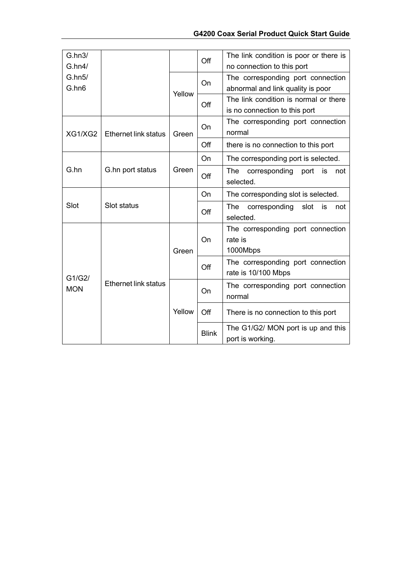| G.hn3/                                              |                             |        | Off                                         | The link condition is poor or there is                   |
|-----------------------------------------------------|-----------------------------|--------|---------------------------------------------|----------------------------------------------------------|
| G.hn4/                                              |                             |        |                                             | no connection to this port                               |
| G.hn5/                                              |                             |        | On                                          | The corresponding port connection                        |
| G.hn6                                               |                             | Yellow |                                             | abnormal and link quality is poor                        |
|                                                     |                             |        | Off                                         | The link condition is normal or there                    |
|                                                     |                             |        |                                             | is no connection to this port                            |
| XG1/XG2                                             | <b>Ethernet link status</b> | Green  | <b>On</b>                                   | The corresponding port connection<br>normal              |
|                                                     |                             |        | Off                                         | there is no connection to this port                      |
|                                                     |                             |        | On                                          | The corresponding port is selected.                      |
| G.hn                                                | G.hn port status            | Green  | Off                                         | The<br>corresponding<br>port<br>is<br>not<br>selected.   |
|                                                     |                             |        | On                                          | The corresponding slot is selected.                      |
| Slot                                                | Slot status                 |        | Off                                         | The<br>corresponding<br>slot<br>is<br>not<br>selected.   |
|                                                     |                             |        |                                             | The corresponding port connection                        |
|                                                     |                             | Green  | On                                          | rate is                                                  |
|                                                     |                             |        |                                             | 1000Mbps                                                 |
| G1/G2/<br><b>Ethernet link status</b><br><b>MON</b> |                             |        | Off                                         | The corresponding port connection<br>rate is 10/100 Mbps |
|                                                     |                             | On     | The corresponding port connection<br>normal |                                                          |
|                                                     |                             |        |                                             |                                                          |
|                                                     |                             | Yellow | Off                                         | There is no connection to this port                      |
|                                                     |                             |        | <b>Blink</b>                                | The G1/G2/ MON port is up and this                       |
|                                                     |                             |        |                                             | port is working.                                         |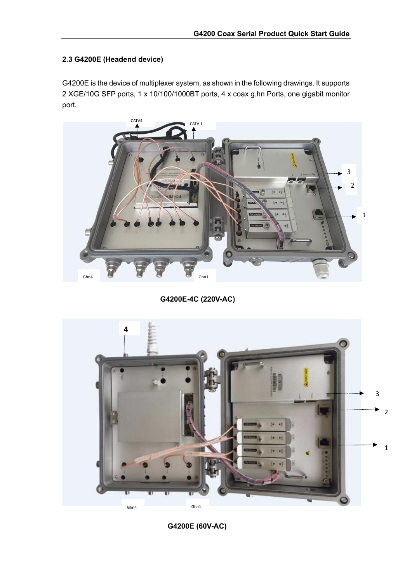## **2.3 G4200E (Headend device)**

G4200E is the device of multiplexer system, as shown in the following drawings. It supports 2 XGE/10G SFP ports, 1 x 10/100/1000BT ports, 4 x coax g.hn Ports, one gigabit monitor port.



**G4200E-4C (220V-AC)**



**G4200E (60V-AC)**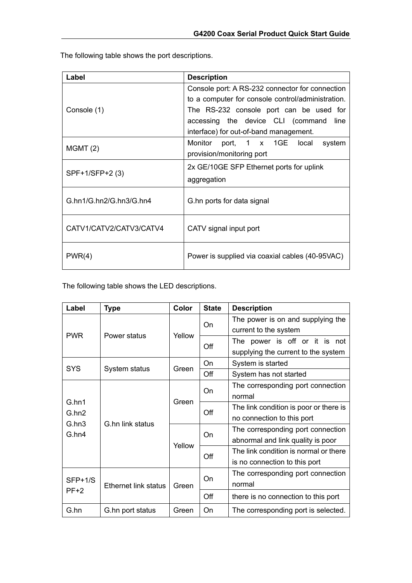The following table shows the port descriptions.

| Label                   | <b>Description</b>                                                                                                             |
|-------------------------|--------------------------------------------------------------------------------------------------------------------------------|
|                         | Console port: A RS-232 connector for connection<br>to a computer for console control/administration.                           |
| Console (1)             | The RS-232 console port can be used for<br>accessing the device CLI (command<br>line<br>interface) for out-of-band management. |
| MGMT(2)                 | Monitor port, 1 x 1GE local<br>system<br>provision/monitoring port                                                             |
| SPF+1/SFP+2 (3)         | 2x GE/10GE SFP Ethernet ports for uplink<br>aggregation                                                                        |
| G.hn1/G.hn2/G.hn3/G.hn4 | G.hn ports for data signal                                                                                                     |
| CATV1/CATV2/CATV3/CATV4 | CATV signal input port                                                                                                         |
| PWR(4)                  | Power is supplied via coaxial cables (40-95VAC)                                                                                |

The following table shows the LED descriptions.

| Label          | <b>Type</b>                 | Color  | <b>State</b> | <b>Description</b>                     |
|----------------|-----------------------------|--------|--------------|----------------------------------------|
|                |                             |        | On           | The power is on and supplying the      |
| <b>PWR</b>     | Power status                | Yellow |              | current to the system                  |
|                |                             |        | Off          | The power is off or it is not          |
|                |                             |        |              | supplying the current to the system    |
| <b>SYS</b>     |                             | Green  | On           | System is started                      |
|                | System status               |        | Off          | System has not started                 |
|                |                             |        |              | The corresponding port connection      |
|                |                             | Green  | On           | normal                                 |
| G.hn1<br>G.hn2 |                             |        | Off          | The link condition is poor or there is |
| G.hn3          | G.hn link status            |        |              |                                        |
| G.hn4          |                             | Yellow | <b>On</b>    | The corresponding port connection      |
|                |                             |        |              | abnormal and link quality is poor      |
|                |                             |        | Off          | The link condition is normal or there  |
|                |                             |        |              | is no connection to this port          |
|                |                             |        | On           | The corresponding port connection      |
| $SFP+1/S$      | <b>Ethernet link status</b> | Green  |              | normal                                 |
| $PF+2$         |                             |        | Off          | there is no connection to this port    |
| G.hn           | G.hn port status            | Green  | On           | The corresponding port is selected.    |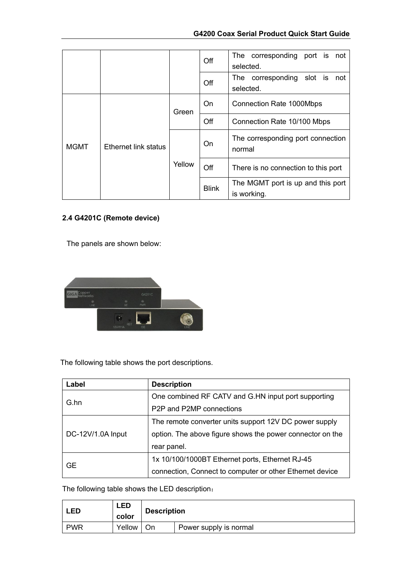|                                            |       |              | Off                                              | The corresponding port is<br>not<br>selected. |
|--------------------------------------------|-------|--------------|--------------------------------------------------|-----------------------------------------------|
|                                            |       |              | Off                                              | The corresponding slot is<br>not<br>selected. |
| <b>Ethernet link status</b><br><b>MGMT</b> | Green | On           | Connection Rate 1000Mbps                         |                                               |
|                                            |       |              | Off                                              | Connection Rate 10/100 Mbps                   |
|                                            |       |              | On                                               | The corresponding port connection<br>normal   |
|                                            |       | Yellow       | Off                                              | There is no connection to this port           |
|                                            |       | <b>Blink</b> | The MGMT port is up and this port<br>is working. |                                               |

## **2.4 G4201C (Remote device)**

The panels are shown below:



The following table shows the port descriptions.

| Label             | <b>Description</b>                                        |  |
|-------------------|-----------------------------------------------------------|--|
|                   | One combined RF CATV and G.HN input port supporting       |  |
| G.hn              | P <sub>2</sub> P and P <sub>2</sub> MP connections        |  |
|                   | The remote converter units support 12V DC power supply    |  |
| DC-12V/1.0A Input | option. The above figure shows the power connector on the |  |
|                   | rear panel.                                               |  |
|                   | 1x 10/100/1000BT Ethernet ports, Ethernet RJ-45           |  |
| <b>GE</b>         | connection, Connect to computer or other Ethernet device  |  |

The following table shows the LED description:

| <b>LED</b> | <b>LED</b><br>color | <b>Description</b> |                        |
|------------|---------------------|--------------------|------------------------|
| <b>PWR</b> | Yellow              | On                 | Power supply is normal |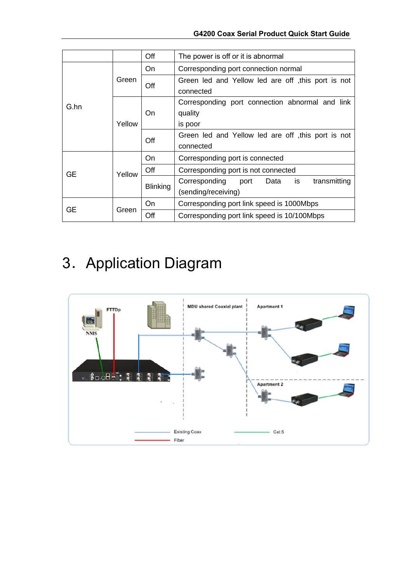|                         |        | Off                                                                   | The power is off or it is abnormal                                         |  |  |  |  |
|-------------------------|--------|-----------------------------------------------------------------------|----------------------------------------------------------------------------|--|--|--|--|
| Green<br>G.hn<br>Yellow |        | On                                                                    | Corresponding port connection normal                                       |  |  |  |  |
|                         |        | Off                                                                   | Green led and Yellow led are off this port is not<br>connected             |  |  |  |  |
|                         | On     | Corresponding port connection abnormal and link<br>quality<br>is poor |                                                                            |  |  |  |  |
|                         |        | Off                                                                   | Green led and Yellow led are off , this port is not<br>connected           |  |  |  |  |
|                         | Yellow | On                                                                    | Corresponding port is connected                                            |  |  |  |  |
| GE                      |        | Off                                                                   | Corresponding port is not connected                                        |  |  |  |  |
|                         |        | <b>Blinking</b>                                                       | Corresponding<br>transmitting<br>Data<br>is<br>port<br>(sending/receiving) |  |  |  |  |
|                         |        | On                                                                    | Corresponding port link speed is 1000Mbps                                  |  |  |  |  |
| GЕ                      | Green  | Off                                                                   | Corresponding port link speed is 10/100Mbps                                |  |  |  |  |

# 3.Application Diagram

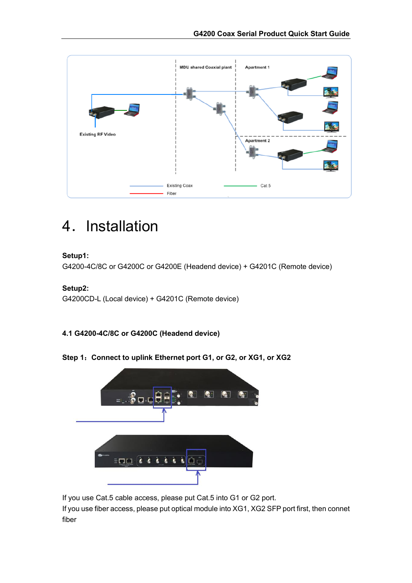

## 4. Installation

## **Setup1:**

G4200-4C/8C or G4200C or G4200E (Headend device) + G4201C (Remote device)

## **Setup2:**

G4200CD-L (Local device) + G4201C (Remote device)

## **4.1 G4200-4C/8C or G4200C (Headend device)**

**Step 1**:**Connect to uplink Ethernet port G1, or G2, or XG1, or XG2**



If you use Cat.5 cable access, please put Cat.5 into G1 or G2 port.

If you use fiber access, please put optical module into XG1, XG2 SFP port first, then connet fiber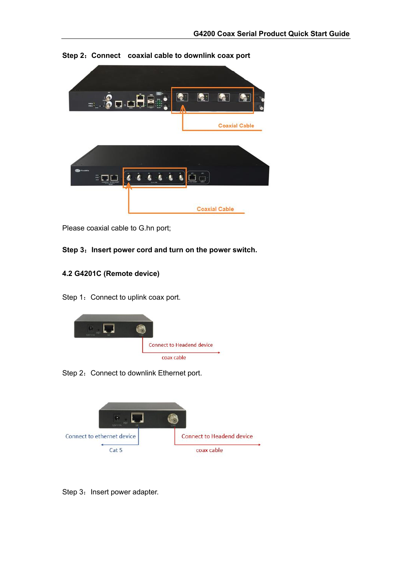

**Step 2**:**Connect coaxial cable to downlink coax port**

Please coaxial cable to G.hn port;



## **4.2 G4201C (Remote device)**



Step 1: Connect to uplink coax port.





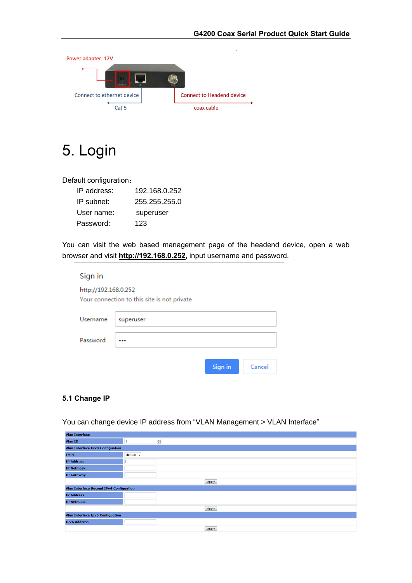

## 5. Login

Default configuration:

| IP address: | 192.168.0.252 |
|-------------|---------------|
| IP subnet:  | 255 255 255 0 |
| User name:  | superuser     |
| Password:   | 123           |

You can visit the web based management page of the headend device, open a web browser and visit **[http://192.168.0.252](http://192.168.0.252/)**, input username and password.

| Sign in                                                             |           |         |        |  |  |  |  |
|---------------------------------------------------------------------|-----------|---------|--------|--|--|--|--|
| http://192.168.0.252<br>Your connection to this site is not private |           |         |        |  |  |  |  |
| Username                                                            | superuser |         |        |  |  |  |  |
| Password                                                            |           |         |        |  |  |  |  |
|                                                                     |           | Sign in | Cancel |  |  |  |  |

### **5.1 Change IP**

You can change device IP address from "VLAN Management > VLAN Interface"

| <b>Vlan Interface</b>                          |          |                       |  |  |  |  |
|------------------------------------------------|----------|-----------------------|--|--|--|--|
| <b>Vlan ID</b>                                 | 1        | $\frac{\Delta}{\Psi}$ |  |  |  |  |
| <b>Vlan Interface IPv4 Configuation</b>        |          |                       |  |  |  |  |
| <b>TYPE</b>                                    | Manual - |                       |  |  |  |  |
| <b>IP Address</b>                              |          |                       |  |  |  |  |
| <b>IP Netmask</b>                              |          |                       |  |  |  |  |
| <b>IP Gateway</b>                              |          |                       |  |  |  |  |
| Apply                                          |          |                       |  |  |  |  |
| <b>Vlan Interface Second IPv4 Configuation</b> |          |                       |  |  |  |  |
| <b>IP Address</b>                              |          |                       |  |  |  |  |
| <b>IP Netmask</b>                              |          |                       |  |  |  |  |
|                                                |          | Apply                 |  |  |  |  |
| <b>Vlan Interface Ipv6 Configuation</b>        |          |                       |  |  |  |  |
| <b>IPv6 Address</b>                            |          |                       |  |  |  |  |
|                                                |          | Apply                 |  |  |  |  |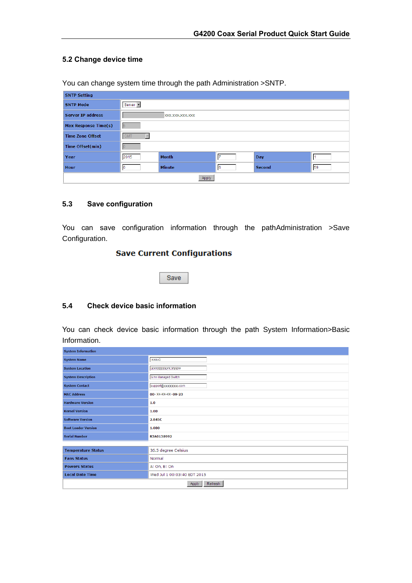## **5.2 Change device time**

You can change system time through the path Administration >SNTP.

| <b>SNTP Setting</b>      |            |                 |    |               |    |
|--------------------------|------------|-----------------|----|---------------|----|
| <b>SNTP Mode</b>         | Server -   |                 |    |               |    |
| <b>Server IP address</b> |            | XXX.XXX.XXX.XXX |    |               |    |
| Max Response Time(s)     |            |                 |    |               |    |
| <b>Time Zone Offset</b>  | <b>GMT</b> |                 |    |               |    |
| Time Offset(min)         |            |                 |    |               |    |
| Year                     | 2015       | <b>Month</b>    | 17 | <b>Day</b>    |    |
| Hour                     |            | <b>Minute</b>   | 16 | <b>Second</b> | 59 |
| Apply                    |            |                 |    |               |    |

#### **5.3 Save configuration**

You can save configuration information through the pathAdministration >Save Configuration.

### **Save Current Configurations**

Save

#### **5.4 Check device basic information**

You can check device basic information through the path System Information>Basic Information.

| <b>System Information</b>  |                             |  |  |  |
|----------------------------|-----------------------------|--|--|--|
| <b>System Name</b>         | <b>XXXXC</b>                |  |  |  |
| <b>System Location</b>     | <b>XXXXXXXXXXXXXXXX</b>     |  |  |  |
| <b>System Description</b>  | G.hn Managed Switch         |  |  |  |
| <b>System Contact</b>      | support@xxxxxxxxx.com       |  |  |  |
| <b>MAC Address</b>         | 00-XX-XX-XX-09-23           |  |  |  |
| <b>Hardware Version</b>    | 1.0                         |  |  |  |
| <b>Kernel Version</b>      | 1.00                        |  |  |  |
| <b>Software Version</b>    | 2.845C                      |  |  |  |
| <b>Boot Loader Version</b> | 1.000                       |  |  |  |
| <b>Serial Number</b>       | R3A0138992                  |  |  |  |
|                            |                             |  |  |  |
| <b>Temperature Status</b>  | 36.5 degree Celsius         |  |  |  |
| <b>Fans Status</b>         | Normal                      |  |  |  |
| <b>Powers Status</b>       | A: On, B: On                |  |  |  |
| <b>Local Date Time</b>     | Wed Jul 1 00:03:40 EDT 2015 |  |  |  |
| Refresh<br>Apply           |                             |  |  |  |